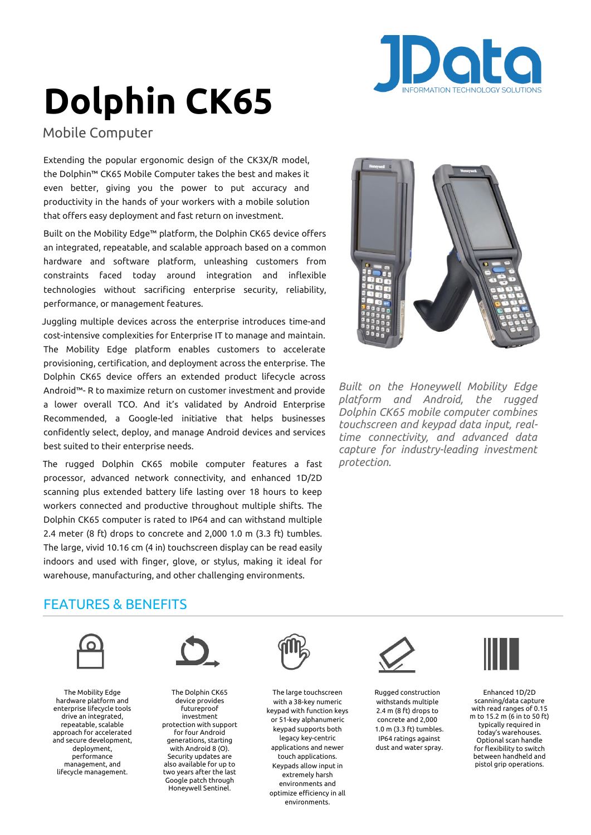

# **Dolphin CK65**

Mobile Computer

Extending the popular ergonomic design of the CK3X/R model, the Dolphin™ CK65 Mobile Computer takes the best and makes it even better, giving you the power to put accuracy and productivity in the hands of your workers with a mobile solution that offers easy deployment and fast return on investment.

Built on the Mobility Edge™ platform, the Dolphin CK65 device offers an integrated, repeatable, and scalable approach based on a common hardware and software platform, unleashing customers from constraints faced today around integration and inflexible technologies without sacrificing enterprise security, reliability, performance, or management features.

Juggling multiple devices across the enterprise introduces time-and cost-intensive complexities for Enterprise IT to manage and maintain. The Mobility Edge platform enables customers to accelerate provisioning, certification, and deployment across the enterprise. The Dolphin CK65 device offers an extended product lifecycle across Android™ R to maximize return on customer investment and provide a lower overall TCO. And it's validated by Android Enterprise Recommended, a Google-led initiative that helps businesses confidently select, deploy, and manage Android devices and services best suited to their enterprise needs.

The rugged Dolphin CK65 mobile computer features a fast processor, advanced network connectivity, and enhanced 1D/2D scanning plus extended battery life lasting over 18 hours to keep workers connected and productive throughout multiple shifts. The Dolphin CK65 computer is rated to IP64 and can withstand multiple 2.4 meter (8 ft) drops to concrete and 2,000 1.0 m (3.3 ft) tumbles. The large, vivid 10.16 cm (4 in) touchscreen display can be read easily indoors and used with finger, glove, or stylus, making it ideal for warehouse, manufacturing, and other challenging environments.



*Built on the Honeywell Mobility Edge platform and Android, the rugged Dolphin CK65 mobile computer combines touchscreen and keypad data input, realtime connectivity, and advanced data capture for industry-leading investment protection.*

# FEATURES & BENEFITS



The Mobility Edge hardware platform and enterprise lifecycle tools drive an integrated, repeatable, scalable approach for accelerated and secure development, deployment, performance management, and lifecycle management.



The Dolphin CK65 device provides futureproof investment protection with support for four Android generations, starting with Android 8 (O). Security updates are also available for up to two years after the last Google patch through Honeywell Sentinel.



The large touchscreen with a 38-key numeric keypad with function keys or 51-key alphanumeric keypad supports both legacy key-centric applications and newer touch applications. Keypads allow input in extremely harsh environments and optimize efficiency in all environments.



Rugged construction withstands multiple 2.4 m (8 ft) drops to concrete and 2,000 1.0 m (3.3 ft) tumbles. IP64 ratings against dust and water spray.



Enhanced 1D/2D scanning/data capture with read ranges of 0.15 m to 15.2 m (6 in to 50 ft) typically required in today's warehouses. Optional scan handle for flexibility to switch between handheld and pistol grip operations.